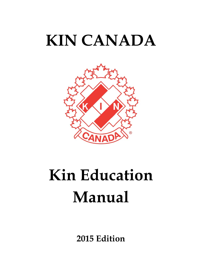## **KIN CANADA**



# **Kin Education Manual**

**2015 Edition**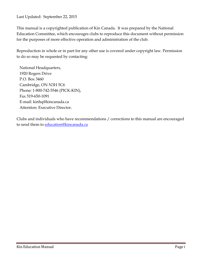Last Updated: September 22, 2015

This manual is a copyrighted publication of Kin Canada. It was prepared by the National Education Committee, which encourages clubs to reproduce this document without permission for the purposes of more effective operation and administration of the club.

Reproduction in whole or in part for any other use is covered under copyright law. Permission to do so may be requested by contacting:

National Headquarters, 1920 Rogers Drive P.O. Box 3460 Cambridge, ON N3H 5C6 Phone: 1-800-742-5546 (PICK-KIN), Fax 519-650-1091 E-mail: kinhq@kincanada.ca Attention: Executive Director.

Clubs and individuals who have recommendations / corrections to this manual are encouraged to send them to *education@kincanada.ca*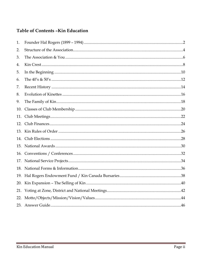## Table of Contents - Kin Education

| 1.  |  |
|-----|--|
| 2.  |  |
| 3.  |  |
| 4.  |  |
| 5.  |  |
| 6.  |  |
| 7.  |  |
| 8.  |  |
| 9.  |  |
| 10. |  |
| 11. |  |
| 12. |  |
| 13. |  |
| 14. |  |
| 15. |  |
| 16. |  |
| 17. |  |
| 18. |  |
| 19. |  |
| 20. |  |
| 21. |  |
| 22. |  |
|     |  |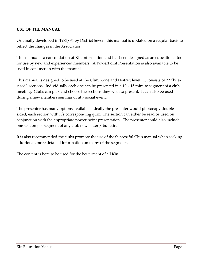## **USE OF THE MANUAL**

Originally developed in 1983/84 by District Seven, this manual is updated on a regular basis to reflect the changes in the Association.

This manual is a consolidation of Kin information and has been designed as an educational tool for use by new and experienced members. A PowerPoint Presentation is also available to be used in conjunction with the manual.

This manual is designed to be used at the Club, Zone and District level. It consists of 22 "bitesized" sections. Individually each one can be presented in a 10 – 15 minute segment of a club meeting. Clubs can pick and choose the sections they wish to present. It can also be used during a new members seminar or at a social event.

The presenter has many options available. Ideally the presenter would photocopy double sided, each section with it's corresponding quiz. The section can either be read or used on conjunction with the appropriate power point presentation. The presenter could also include one section per segment of any club newsletter / bulletin.

It is also recommended the clubs promote the use of the Successful Club manual when seeking additional, more detailed information on many of the segments.

The content is here to be used for the betterment of all Kin!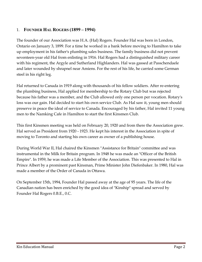## 1. **FOUNDER HAL ROGERS (1899 – 1994)**

The founder of our Association was H.A. (Hal) Rogers. Founder Hal was born in London, Ontario on January 3, 1899. For a time he worked in a bank before moving to Hamilton to take up employment in his father's plumbing sales business. The family business did not prevent seventeen-year old Hal from enlisting in 1916. Hal Rogers had a distinguished military career with his regiment, the Argyle and Sutherland Highlanders. Hal was gassed at Passchendaele and later wounded by shrapnel near Amiens. For the rest of his life, he carried some German steel in his right leg.

Hal returned to Canada in 1919 along with thousands of his fellow soldiers. After re-entering the plumbing business, Hal applied for membership to the Rotary Club but was rejected because his father was a member, and the Club allowed only one person per vocation. Rotary's loss was our gain. Hal decided to start his own service Club. As Hal saw it, young men should preserve in peace the ideal of service to Canada. Encouraged by his father, Hal invited 11 young men to the Namking Cafe in Hamilton to start the first Kinsmen Club.

This first Kinsmen meeting was held on February 20, 1920 and from there the Association grew. Hal served as President from 1920 - 1923. He kept his interest in the Association in spite of moving to Toronto and starting his own career as owner of a publishing house.

During World War II, Hal chaired the Kinsmen "Assistance for Britain" committee and was instrumental in the Milk for Britain program. In 1948 he was made an "Officer of the British Empire". In 1959, he was made a Life Member of the Association. This was presented to Hal in Prince Albert by a prominent past Kinsman, Prime Minister John Diefenbaker. In 1980, Hal was made a member of the Order of Canada in Ottawa.

On September 15th, 1994, Founder Hal passed away at the age of 95 years. The life of the Canadian nation has been enriched by the good idea of "Kinship" spread and served by Founder Hal Rogers 0.B.E., 0.C.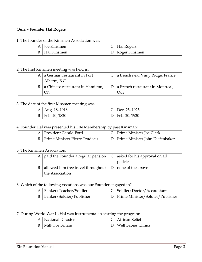#### **Quiz – Founder Hal Rogers**

#### 1. The founder of the Kinsmen Association was:

|  |   | <b>Joe Kinsmen</b>       | Hal Rogers    |
|--|---|--------------------------|---------------|
|  | B | <sup>1</sup> Hal Kinsmen | Roger Kinsmen |

#### 2. The first Kinsmen meeting was held in:

|  | A $\vert$ a German restaurant in Port | C   a trench near Vimy Ridge, France   |
|--|---------------------------------------|----------------------------------------|
|  | Alberni, B.C.                         |                                        |
|  | a Chinese restaurant in Hamilton,     | $ D $ a French restaurant in Montreal, |
|  | ON                                    | Oue.                                   |

#### 3. The date of the first Kinsmen meeting was:

|              | A   Aug. 18, 1918 | $C$ Dec. 25, 1925 |
|--------------|-------------------|-------------------|
| $\mathbf{B}$ | Feb. 20, 1820     | D   Feb. 20, 1920 |

#### 4. Founder Hal was presented his Life Membership by past Kinsman:

|  | A President Gerald Ford           | C   Prime Minister Joe Clark        |
|--|-----------------------------------|-------------------------------------|
|  | B   Prime Minister Pierre Trudeau | D   Prime Minister John Diefenbaker |

#### 5. The Kinsmen Association:

|   | A $\vert$ paid the Founder a regular pension $\vert$ C $\vert$ asked for his approval on all |          |
|---|----------------------------------------------------------------------------------------------|----------|
|   |                                                                                              | policies |
| B | allowed him free travel throughout $ D $ none of the above                                   |          |
|   | the Association                                                                              |          |

6. Which of the following vocations was our Founder engaged in?

| A   Banker/Teacher/Soldier   | $ C $ Soldier/Doctor/Accountant      |
|------------------------------|--------------------------------------|
| B   Banker/Soldier/Publisher | D   Prime Minister/Soldier/Publisher |

#### 7. During World War II, Hal was instrumental in starting the program:

|  | <b>National Disaster</b> | African Relief             |
|--|--------------------------|----------------------------|
|  | Milk For Britain         | <b>Well Babies Clinics</b> |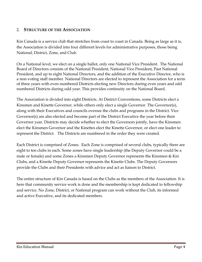## 2. **STRUCTURE OF THE ASSOCIATION**

Kin Canada is a service club that stretches from coast to coast in Canada. Being as large as it is, the Association is divided into four different levels for administrative purposes, those being National, District, Zone, and Club.

On a National level, we elect on a single ballot, only one National Vice President. The National Board of Directors consists of the National President, National Vice President, Past National President, and up to eight National Directors, and the addition of the Executive Director, who is a non-voting staff member. National Directors are elected to represent the Association for a term of three years with even numbered Districts electing new Directors during even years and odd numbered Districts during odd year. This provides continuity on the National Board.

The Association is divided into eight Districts. At District Conventions, some Districts elect a Kinsmen and Kinette Governor, while others only elect a single Governor. The Governor(s), along with their Executives and councils oversee the clubs and programs in the District. Vice Governor(s) are also elected and become part of the District Executive the year before their Governor year. Districts may decide whether to elect the Governors jointly, have the Kinsmen elect the Kinsmen Governor and the Kinettes elect the Kinette Governor, or elect one leader to represent the District. The Districts are numbered in the order they were created.

Each District is comprised of Zones. Each Zone is comprised of several clubs, typically there are eight to ten clubs in each. Some zones have single leadership (the Deputy Governor could be a male or female) and some Zones a Kinsmen Deputy Governor represents the Kinsmen & Kin Clubs, and a Kinette Deputy Governor represents the Kinette Clubs. The Deputy Governors provide the Clubs and their Presidents with advice and act as liaison to District.

The entire structure of Kin Canada is based on the Clubs as the members of the Association. It is here that community service work is done and the membership is kept dedicated to fellowship and service. No Zone, District, or National program can work without the Club, its informed and active Executive, and its dedicated members.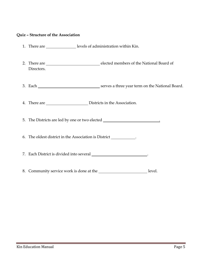#### **Quiz – Structure of the Association**

- 1. There are \_\_\_\_\_\_\_\_\_\_\_\_\_\_\_\_\_levels of administration within Kin.
- 2. There are elected members of the National Board of Directors.
- 3. Each Serves a three year term on the National Board.

4. There are Districts in the Association.

5. The Districts are led by one or two elected .

6. The oldest district in the Association is District .

7. Each District is divided into several \_\_\_\_\_\_\_\_\_\_\_\_\_\_\_\_\_\_\_\_\_\_\_\_\_.

8. Community service work is done at the **level** evel.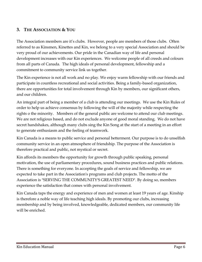## **3. THE ASSOCIATION & YOU**

The Association members are it's clubs. However, people are members of those clubs. Often referred to as Kinsmen, Kinettes and Kin, we belong to a very special Association and should be very proud of our achievements. Our pride in the Canadian way of life and personal development increases with our Kin experiences. We welcome people of all creeds and colours from all parts of Canada. The high ideals of personal development, fellowship and a commitment to community service link us together.

The Kin experience is not all work and no play. We enjoy warm fellowship with our friends and participate in countless recreational and social activities. Being a family-based organization, there are opportunities for total involvement through Kin by members, our significant others, and our children.

An integral part of being a member of a club is attending our meetings. We use the Kin Rules of order to help us achieve consensus by following the will of the majority while respecting the rights o the minority. Members of the general public are welcome to attend our club meetings. We are not religious based, and do not exclude anyone of good moral standing. We do not have secret handshakes, although many clubs sing the Kin Song at the start of a meeting in an effort to generate enthusiasm and the feeling of teamwork.

Kin Canada is a means to public service and personal betterment. Our purpose is to do unselfish community service in an open atmosphere of friendship. The purpose of the Association is therefore practical and public, not mystical or secret.

Kin affords its members the opportunity for growth through public speaking, personal motivation, the use of parliamentary procedures, sound business practices and public relations. There is something for everyone. In accepting the goals of service and fellowship, we are expected to take part in the Association's programs and club projects. The motto of the Association is "SERVING THE COMMUNITY'S GREATEST NEED". By doing so, members experience the satisfaction that comes with personal involvement.

Kin Canada taps the energy and experience of men and women at least 19 years of age. Kinship is therefore a noble way of life teaching high ideals. By promoting our clubs, increasing membership and by being involved, knowledgeable, dedicated members, our community life will be enriched.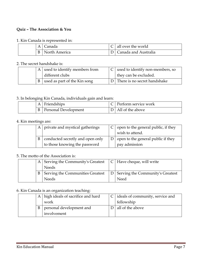#### **Quiz – The Association & You**

#### 1. Kin Canada is represented in:

|  | lanada        | all over the world   |
|--|---------------|----------------------|
|  | North America | Canada and Australia |

#### 2. The secret handshake is:

|  | A used to identify members from | $C$ used to identify non-members, so |
|--|---------------------------------|--------------------------------------|
|  | different clubs                 | they can be excluded.                |
|  | used as part of the Kin song    | D There is no secret handshake       |

## 3. In belonging Kin Canada, individuals gain and learn:

| Friendships          | Perform service work |
|----------------------|----------------------|
| Personal Development | D   All of the above |

#### 4. Kin meetings are:

|   | A private and mystical gatherings | $C \mid$ open to the general public, if they<br>wish to attend. |
|---|-----------------------------------|-----------------------------------------------------------------|
| B | conducted secretly and open only  | $D$   open to the general public if they                        |
|   | to those knowing the password     | pay admission                                                   |

#### 5. The motto of the Association is:

|  | A Serving the Community's Greatest $\ C\ $ Have cheque, will write |                                      |
|--|--------------------------------------------------------------------|--------------------------------------|
|  | <b>Needs</b>                                                       |                                      |
|  | B Serving the Communities Greatest                                 | D   Serving the Community's Greatest |
|  | <b>Needs</b>                                                       | Need                                 |

#### 6. Kin Canada is an organization teaching:

|   | A high ideals of sacrifice and hard | dideals of community, service and |
|---|-------------------------------------|-----------------------------------|
|   | work                                | fellowship                        |
| B | personal development and            | all of the above                  |
|   | involvement                         |                                   |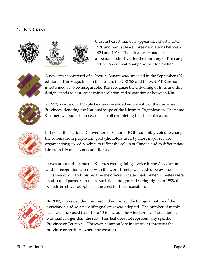## **4. KIN CREST**



Our first Crest made its appearance shortly after 1920 and had (at least) three derivations between 1924 and 1926. The initial crest made its appearance shortly after the founding of Kin early in 1920 on our stationary and printed matter.



A new crest comprised of a Cross & Square was unveiled in the September 1926 edition of Kin Magazine. In the design, the CROSS and the SQUARE are so intertwined as to be inseparable. Kin recognize the entwining of lives and this design stands as a protest against isolation and separation as between Kin.



In 1952, a circle of 10 Maple Leaves was added emblematic of the Canadian Provinces, denoting the National scope of the Kinsmen Organization. The name Kinsmen was superimposed on a scroll completing the circle of leaves.



In 1984 at the National Convention in Victoria BC the assembly voted to change the colours from purple and gold (the colors used by most major service organizations) to red & white to reflect the colors of Canada and to differentiate Kin from Kiwanis, Lions, and Rotary.



It was around this time the Kinettes were gaining a voice in the Association, and in recognition, a scroll with the word Kinette was added below the Kinsmen scroll, and this became the official Kinette crest. When Kinettes were made equal partners in the Association and granted voting rights in 1988, the Kinette crest was adopted as the crest for the association.



By 2002, it was decided the crest did not reflect the bilingual nature of the association and so a new bilingual crest was adopted. The number of maple leafs was increased from 10 to 13 to include the 3 territories. The center leaf was made larger than the rest. This leaf does not represent any specific Province or Territory. However, common lore indicates it represents the province or territory where the wearer resides.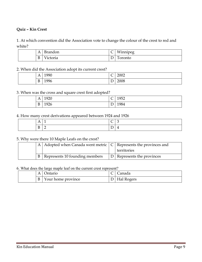### **Quiz – Kin Crest**

1. At which convention did the Association vote to change the colour of the crest to red and white?

| A                | $\overline{\phantom{0}}$<br>randon | ⌒<br>. . | Winnipeg<br>ັ |
|------------------|------------------------------------|----------|---------------|
| $\boldsymbol{B}$ | $-$<br>ctoria                      |          | oronto        |

#### 2. When did the Association adopt its current crest?

| д            | $\overline{\phantom{a}}$   | $\overline{\phantom{0}}$ | 2002                 |
|--------------|----------------------------|--------------------------|----------------------|
| $\mathbf{1}$ | 1990                       | $\check{ }$              |                      |
| B            | and the control of<br>1996 | $\mathbf -$<br>ட         | $\sim$<br>__<br>2008 |

#### 3. When was the cross and square crest first adopted?

| А<br>$\overline{1}$ | 192 <sup>c</sup><br>ں ∠′ | $\sqrt{2}$<br>╰ | 1952 |
|---------------------|--------------------------|-----------------|------|
| B                   | 1926                     | ⇁<br>້          | 1984 |

#### 4. How many crest derivations appeared between 1924 and 1926

| $\mathbf{r}$<br>.<br>$ -$ | $\overline{\phantom{0}}$ | $\overline{\phantom{0}}$<br>◡ | ◡                        |
|---------------------------|--------------------------|-------------------------------|--------------------------|
| $\mathbf{r}$<br>ĸ<br>◡    | $\leftarrow$             | -                             | $\overline{\phantom{a}}$ |

## 5. Why were there 10 Maple Leafs on the crest?

|              | A Adopted when Canada went metric $ C $ Represents the provinces and |                              |
|--------------|----------------------------------------------------------------------|------------------------------|
|              |                                                                      | territories                  |
| $\mathbf{B}$ | Represents 10 founding members                                       | D   Represents the provinces |

#### 6. What does the large maple leaf on the current crest represent?

| A      | Ontario            | Canada     |
|--------|--------------------|------------|
| D<br>D | Your home province | Hal Rogers |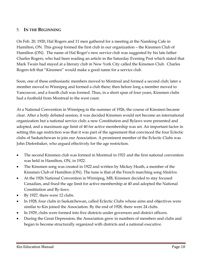## 5. **IN THE BEGINNING**

On Feb. 20, 1920, Hal Rogers and 11 men gathered for a meeting at the Namking Cafe in Hamilton, ON. This group formed the first club in our organization – the Kinsmen Club of Hamilton (ON). The name of Hal Roger's new service club was suggested by his late father Charles Rogers, who had been reading an article in the Saturday Evening Post which stated that Mark Twain had stayed at a literary club in New York City called the Kinsmen Club. Charles Rogers felt that "Kinsmen" would make a good name for a service club.

Soon, one of these enthusiastic members moved to Montreal and formed a second club; later a member moved to Winnipeg and formed a club there; then before long a member moved to Vancouver, and a fourth club was formed. Thus, in a short span of four years, Kinsmen clubs had a foothold from Montreal to the west coast.

At a National Convention in Winnipeg in the summer of 1926, the course of Kinsmen became clear. After a hotly debated session, it was decided Kinsmen would not become an international organization but a national service club; a new Constitution and Bylaws were presented and adopted, and a maximum age limit of 40 for active membership was set. An important factor in setting this age restriction was that it was part of the agreement that convinced the four Eclectic clubs of Saskatchewan to join our Association. A prominent member of the Eclectic Clubs was John Diefenbaker, who argued effectively for the age restriction.

- The second Kinsmen club was formed in Montreal in 1921 and the first national convention was held in Hamilton, ON, in 1922.
- The Kinsmen song was created in 1922 and written by Mickey Heath, a member of the Kinsmen Club of Hamilton (ON). The tune is that of the French marching song *Madelon.*
- At the 1926 National Convention in Winnipeg, MB, Kinsmen decided to stay focused Canadian, and fixed the age limit for active membership at 40 and adopted the National Constitution and By-laws.
- By 1927, there were 12 clubs.
- In 1928, four clubs in Saskatchewan, called Eclectic Clubs whose aims and objectives were similar to Kin joined the Association. By the end of 1928, there were 24 clubs.
- In 1929, clubs were formed into five districts under governors and district officers.
- During the Great Depression, the Association grew in numbers of members and clubs and began to become structurally organized with districts and a national executive.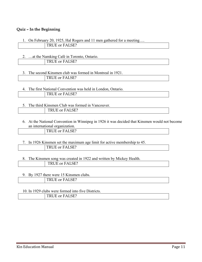#### **Quiz – In the Beginning**

| 1. On February 20, 1925, Hal Rogers and 11 men gathered for a meeting |  |
|-----------------------------------------------------------------------|--|
| TRUE or FALSE?                                                        |  |

2. …at the Namking Café in Toronto, Ontario.

TRUE or FALSE?

#### 3. The second Kinsmen club was formed in Montreal in 1921. TRUE or FALSE?

- 4. The first National Convention was held in London, Ontario. TRUE or FALSE?
- 5. The third Kinsmen Club was formed in Vancouver. TRUE or FALSE?
	- 6. At the National Convention in Winnipeg in 1926 it was decided that Kinsmen would not become an international organization.

| $\tau$ or $\sim$<br>$\overline{\phantom{0}}$<br>$-$<br>mm.<br>$\cdots$ |
|------------------------------------------------------------------------|
|------------------------------------------------------------------------|

#### 7. In 1926 Kinsmen set the maximum age limit for active membership to 45. TRUE or FALSE?

8. The Kinsmen song was created in 1922 and written by Mickey Health. TRUE or FALSE?

#### 9. By 1927 there were 15 Kinsmen clubs. TRUE or FALSE?

#### 10. In 1929 clubs were formed into five Districts. TRUE or FALSE?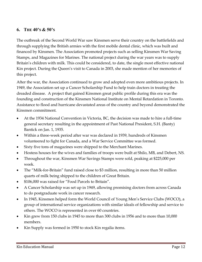## **6. THE 40'S & 50'S**

The outbreak of the Second World War saw Kinsmen serve their country on the battlefields and through supplying the British armies with the first mobile dental clinic, which was built and financed by Kinsmen. The Association promoted projects such as selling Kinsmen War Saving Stamps, and Magazines for Marines. The national project during the war years was to supply Britain's children with milk. This could be considered, to date, the single most effective national Kin project. During the Queen's visit to Canada in 2003, she made mention of her memories of this project.

After the war, the Association continued to grow and adopted even more ambitious projects. In 1949, the Association set up a Cancer Scholarship Fund to help train doctors in treating the dreaded disease. A project that gained Kinsmen great public profile during this era was the founding and construction of the Kinsmen National Institute on Mental Retardation in Toronto. Assistance to flood and hurricane devastated areas of the country and beyond demonstrated the Kinsmen commitment.

- At the 1934 National Convention in Victoria, BC, the decision was made to hire a full-time general secretary resulting in the appointment of Past National President, S.H. (Banty) Bantick on Jan. 1, 1935.
- Within a three-week period after war was declared in 1939, hundreds of Kinsmen volunteered to fight for Canada, and a War Service Committee was formed.
- Sixty five tons of magazines were shipped to the Merchant Marines.
- Hostess houses for the wives and families of troops were built at Shilo, MB, and Debert, NS.
- Throughout the war, Kinsmen War Savings Stamps were sold, peaking at \$225,000 per week.
- The "Milk-for-Britain" fund raised close to \$3 million, resulting in more than 50 million quarts of milk being shipped to the children of Great Britain.
- \$106,000 was raised for "Food Parcels to Britain".
- A Cancer Scholarship was set up in 1949, allowing promising doctors from across Canada to do postgraduate work in cancer research.
- In 1945, Kinsmen helped form the World Council of Young Men's Service Clubs (WOCO), a group of international service organizations with similar ideals of fellowship and service to others. The WOCO is represented in over 60 countries.
- Kin grew from 150 clubs in 1945 to more than 300 clubs in 1956 and to more than 10,000 members.
- Kin Supply was formed in 1950 to stock Kin regalia items.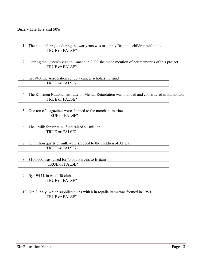#### **Quiz – The 40's and 50's**

- 1. The national project during the war years was to supply Britain's children with milk. TRUE or FALSE?
- 2. During the Queen's visit to Canada in 2000 she made mention of her memories of this project. TRUE or FALSE?
- 3. In 1940, the Association set up a cancer scholarship fund TRUE or FALSE?
- 4. The Kinsmen National Institute on Mental Retardation was founded and constructed in Edmonton. TRUE or FALSE?
- 5. One ton of magazines were shipped to the merchant marines.

| - -                                               |
|---------------------------------------------------|
| $\sim$ $\sim$ $\sim$<br>__<br>--<br>$\frac{1}{2}$ |
|                                                   |

6. The "Milk for Britain" fund raised \$1 million.

7. 50 million quarts of milk were shipped to the children of Africa. TRUE or FALSE?

#### 8. \$106,000 was raised for "Food Parcels to Britain ".

| ---<br>. |
|----------|
|          |

9. By 1945 Kin was 150 clubs.

### 10. Kin Supply, which supplied clubs with Kin regalia items was formed in 1950. TRUE or FALSE?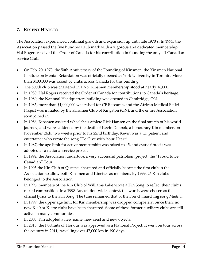## **7. RECENT HISTORY**

The Association experienced continual growth and expansion up until late 1970's. In 1975, the Association passed the five hundred Club mark with a vigorous and dedicated membership. Hal Rogers received the Order of Canada for his contribution in founding the only all-Canadian service Club.

- On Feb. 20, 1970, the 50th Anniversary of the Founding of Kinsmen, the Kinsmen National Institute on Mental Retardation was officially opened at York University in Toronto. More than \$400,000 was raised by clubs across Canada for this building.
- The 500th club was chartered in 1975. Kinsmen membership stood at nearly 16,000.
- In 1980, Hal Rogers received the Order of Canada for contributions to Canada's heritage.
- In 1980, the National Headquarters building was opened in Cambridge, ON.
- In 1985, more than \$1,000,000 was raised for CF Research, and the African Medical Relief Project was initiated by the Kinsmen Club of Kingston (ON), and the entire Association soon joined in.
- In 1986, Kinsmen assisted wheelchair athlete Rick Hansen on the final stretch of his world journey, and were saddened by the death of Kevin Denbok, a honourary Kin member, on November 24th, two weeks prior to his 22nd birthday. Kevin was a CF patient and entertainer who wrote the song "To Give with Your Heart".
- In 1987, the age limit for active membership was raised to 45, and cystic fibrosis was adopted as a national service project.
- In 1992, the Association undertook a very successful patriotism project, the "Proud to Be Canadian" Tour.
- In 1995 the Kin Club of Quesnel chartered and officially became the first club in the Association to allow both Kinsmen and Kinettes as members. By 1999, 26 Kin clubs belonged to the Association.
- In 1996, members of the Kin Club of Williams Lake wrote a Kin Song to reflect their club's mixed composition. In a 1998 Association-wide contest, the words were chosen as the official lyrics to the Kin Song. The tune remained that of the French marching song *Madelon*.
- In 1999, the upper age limit for Kin membership was dropped completely. Since then, no new K-40 or K-ette clubs have been chartered. Some of these former auxiliary clubs are still active in many communities.
- In 2003, Kin adopted a new name, new crest and new objects.
- In 2010, the Portraits of Honour was approved as a National Project. It went on tour across the country in 2011, travelling over 47,000 km in 190 days.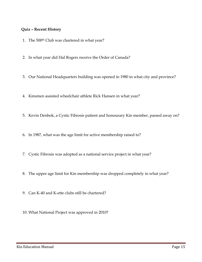#### **Quiz – Recent History**

- 1. The 500<sup>th</sup> Club was chartered in what year?
- 2. In what year did Hal Rogers receive the Order of Canada?
- 3. Our National Headquarters building was opened in 1980 in what city and province?
- 4. Kinsmen assisted wheelchair athlete Rick Hansen in what year?
- 5. Kevin Denbok, a Cystic Fibrosis patient and honourary Kin member, passed away on?
- 6. In 1987, what was the age limit for active membership raised to?
- 7. Cystic Fibrosis was adopted as a national service project in what year?
- 8. The upper age limit for Kin membership was dropped completely in what year?
- 9. Can K-40 and K-ette clubs still be chartered?
- 10. What National Project was approved in 2010?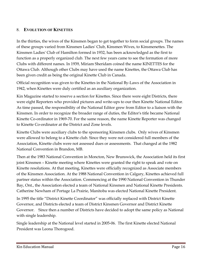## 8. **EVOLUTION OF KINETTES**

In the thirties, the wives of the Kinsmen began to get together to form social groups. The names of these groups varied from Kinsmen Ladies' Club, Kinsmen Wives, to Kinsmenettes. The Kinsmen Ladies' Club of Hamilton formed in 1932, has been acknowledged as the first to function as a properly organized club. The next few years came to see the formation of more Clubs with different names. In 1939, Miriam Sheridam coined the name KINETTES for the Ottawa Club. Although other Clubs may have used the name Kinettes, the Ottawa Club has been given credit as being the original Kinette Club in Canada.

Official recognition was given to the Kinettes in the National By-Laws of the Association in 1942, when Kinettes were duly certified as an auxiliary organization.

Kin Magazine started to reserve a section for Kinettes. Since there were eight Districts, there were eight Reporters who provided pictures and write-ups to our then Kinette National Editor. As time passed, the responsibility of the National Editor grew from Editor to a liaison with the Kinsmen. In order to recognize the broader range of duties, the Editor's title became National Kinette Co-ordinator in 1969-70. For the same reason, the name Kinette Reporter was changed to Kinette Co-ordinator at the District and Zone levels.

Kinette Clubs were auxiliary clubs to the sponsoring Kinsmen clubs. Only wives of Kinsmen were allowed to belong to a Kinette club. Since they were not considered full members of the Association, Kinette clubs were not assessed dues or assessments. That changed at the 1982 National Convention in Brandon, MB.

Then at the 1983 National Convention in Moncton, New Brunswick, the Association held its first joint Kinsmen – Kinette meeting where Kinettes were granted the right to speak and vote on Kinette resolutions. At that meeting, Kinettes were officially recognized as Associate members of the Kinsmen Association. At the 1988 National Convention in Calgary, Kinettes achieved full partner status within the Association. Commencing at the 1990 National Convention in Thunder Bay, Ont., the Association elected a team of National Kinsmen and National Kinette Presidents. Catherine Newham of Portage La Prairie, Manitoba was elected National Kinette President.

In 1995 the title "District Kinette Coordinator" was officially replaced with District Kinette Governor, and Districts elected a team of District Kinsmen Governor and District Kinette Governor. Since then a number of Districts have decided to adopt the same policy as National with single leadership.

Single leadership at the National level started in 2005-06. The first Kinette elected National President was Leona Thorogood.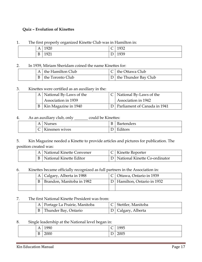#### **Quiz – Evolution of Kinettes**

#### 1. The first properly organized Kinette Club was in Hamilton in:

| A                       | $\overline{0}$<br>◢<br>u<br>1920 | $\overline{\phantom{0}}$<br>╰ | 1937<br>エノフム |
|-------------------------|----------------------------------|-------------------------------|--------------|
| $\mathbf{r}$<br>к<br>ι, | 192 <sup>4</sup><br>エノムエ         | $\overline{\phantom{a}}$<br>◡ | 1939<br>エノフノ |

#### 2. In 1939, Miriam Sheridam coined the name Kinettes for:

|              | A the Hamilton Club | $C$ the Ottawa Club      |
|--------------|---------------------|--------------------------|
| $\mathbf{B}$ | the Toronto Club    | $D$ the Thunder Bay Club |

#### 3. Kinettes were certified as an auxiliary in the:

|  | A   National By-Laws of the | $C$ National By-Laws of the      |
|--|-----------------------------|----------------------------------|
|  | Association in 1939         | Association in 1942              |
|  | B   Kin Magazine in 1940    | D   Parliament of Canada in 1941 |

#### 4. As an auxiliary club, only could be Kinettes:

| Α      | Nurses              | B | <b>Bartenders</b> |
|--------|---------------------|---|-------------------|
| ╭<br>∼ | Ki<br>Ginsmen wives |   | <b>Editors</b>    |

5. Kin Magazine needed a Kinette to provide articles and pictures for publication. The position created was:

| A   National Kinette Convener      | $\vert$ C   Kinette Reporter      |
|------------------------------------|-----------------------------------|
| <b>B</b>   National Kinette Editor | D   National Kinette Co-ordinator |

#### 6. Kinettes became officially recognized as full partners in the Association in:

|  | A   Calgary, Alberta in 1988 | C   Ottawa, Ontario in 1939   |
|--|------------------------------|-------------------------------|
|  | Brandon, Manitoba in 1982    | D   Hamilton, Ontario in 1932 |
|  |                              |                               |

#### 7. The first National Kinette President was from:

|  | A   Portage La Prairie, Manitoba | C   Stettler, Manitoba |
|--|----------------------------------|------------------------|
|  | Thunder Bay, Ontario             | D   Calgary, Alberta   |

#### 8. Single leadership at the National level began in:

| $\overline{ }$<br>1 P | 1990 | $\sqrt{2}$<br>╰     | 1995        |
|-----------------------|------|---------------------|-------------|
| B                     | 2000 | $\blacksquare$<br>┻ | 00F<br>ZUUJ |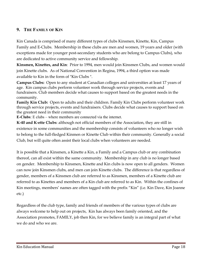## **9. THE FAMILY OF KIN**

Kin Canada is comprised of many different types of clubs Kinsmen, Kinette, Kin, Campus Family and E-Clubs. Membership in these clubs are men and women, 19 years and older (with exceptions made for younger post-secondary students who are belong to Campus Clubs), who are dedicated to active community service and fellowship.

**Kinsmen, Kinettes, and Kin**: Prior to 1994, men would join Kinsmen Clubs, and women would join Kinette clubs. As of National Convention in Regina, 1994, a third option was made available to Kin in the form of "Kin Clubs ".

**Campus Clubs:** Open to any student at Canadian colleges and universities at least 17 years of age. Kin campus clubs perform volunteer work through service projects, events and fundraisers. Club members decide what causes to support based on the greatest needs in the community.

**Family Kin Club:** Open to adults and their children. Family Kin Clubs perform volunteer work through service projects, events and fundraisers. Clubs decide what causes to support based on the greatest need in their community

**E-Clubs**: E clubs – where members are connected via the internet.

**K-40 and K-ette Clubs**: although not official members of the Association, they are still in existence in some communities and the membership consists of volunteers who no longer wish to belong to the full-fledged Kinmen or Kinette Club within their community. Generally a social Club, but will quite often assist their local clubs when volunteers are needed.

It is possible that a Kinsmen, a Kinette a Kin, a Family and a Campus club or any combination thereof, can all exist within the same community. Membership in any club is no longer based on gender. Membership to Kinsmen, Kinette and Kin clubs is now open to all genders. Women can now join Kinsmen clubs, and men can join Kinette clubs. The difference is that regardless of gender, members of a Kinsmen club are referred to as Kinsmen, members of a Kinette club are referred to as Kinettes and members of a Kin club are referred to as Kin. Within the confines of Kin meetings, members' names are often tagged with the prefix "Kin" (i.e. Kin Dave, Kin Joanne etc.)

Regardless of the club type, family and friends of members of the various types of clubs are always welcome to help out on projects, Kin has always been family oriented, and the Association promotes, FAMILY, job then Kin, for we believe family is an integral part of what we do and who we are.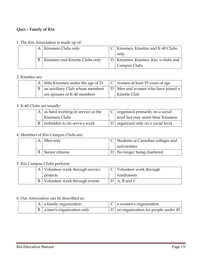#### **Quiz – Family of Kin**

#### 1. The Kin Association is made up of:

|  | A | Kinsmen Clubs only             | Kinsmen, Kinettes and K-40 Clubs        |
|--|---|--------------------------------|-----------------------------------------|
|  |   |                                | only                                    |
|  | B | Kinsmen and Kinette Clubs only | D   Kinsmen, Kinettes, Kin, e-clubs and |
|  |   |                                | Campus Clubs                            |

#### 2. Kinettes are:

|  | A little Kinsmen under the age of 21         | $ C $ women at least 19 years of age |
|--|----------------------------------------------|--------------------------------------|
|  | $\mathsf{B}$ an auxiliary Club whose members | D   Men and women who have joined a  |
|  | are spouses of K-40 members                  | Kinette Club                         |

#### 3. K-40 Clubs are usually:

|  | A $\vert$ as hard working in service as the<br>  Kinsmen Clubs | $\mid$ C $\mid$ organized primarily on a social<br>level but may assist their Kinsmen |
|--|----------------------------------------------------------------|---------------------------------------------------------------------------------------|
|  | B forbidden to do service work                                 | $D$ organized only on a social level                                                  |

#### 4. Members of Kin Campus Clubs are:

|  | A   Men only    | C Students at Canadian colleges and |
|--|-----------------|-------------------------------------|
|  |                 | universities                        |
|  | Senior citizens | D   No longer being chartered       |

#### 5. Kin Campus Clubs perform:

|  | Volunteer work through service | $ C $ Volunteer work through |
|--|--------------------------------|------------------------------|
|  | projects                       | fundraisers                  |
|  | Volunteer work through events  | $D \mid A$ , B and C         |

#### 6. Our Association can be described as:

|  | $A \mid a$ family organization     | $\mid$ C $\mid$ a women's organization    |
|--|------------------------------------|-------------------------------------------|
|  | $B \mid a$ men's organization only | $ D $ an organization for people under 45 |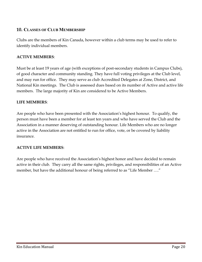## **10. CLASSES OF CLUB MEMBERSHIP**

Clubs are the members of Kin Canada, however within a club terms may be used to refer to identify individual members.

#### **ACTIVE MEMBERS**:

Must be at least 19 years of age (with exceptions of post-secondary students in Campus Clubs), of good character and community standing. They have full voting privileges at the Club level, and may run for office. They may serve as club Accredited Delegates at Zone, District, and National Kin meetings. The Club is assessed dues based on its number of Active and active life members. The large majority of Kin are considered to be Active Members.

#### **LIFE MEMBERS**:

Are people who have been presented with the Association's highest honour. To qualify, the person must have been a member for at least ten years and who have served the Club and the Association in a manner deserving of outstanding honour. Life Members who are no longer active in the Association are not entitled to run for office, vote, or be covered by liability insurance.

#### **ACTIVE LIFE MEMBERS**:

Are people who have received the Association's highest honor and have decided to remain active in their club. They carry all the same rights, privileges, and responsibilities of an Active member, but have the additional honour of being referred to as "Life Member …."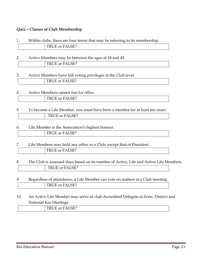#### **Quiz – Classes of Club Membership**

| Within clubs, there are four terms that may be referring to its membership. |
|-----------------------------------------------------------------------------|
| TRUE or FALSE?                                                              |
|                                                                             |

2. Active Members may be between the ages of 18 and 45.

TRUE or FALSE?

3. Active Members have full voting privileges at the Club level.

|  | $-$                                  |
|--|--------------------------------------|
|  | CE 2<br>- 13<br>д<br>TINUE OI TALOE; |
|  |                                      |

4. Active Members cannot run for office.

| --<br>-<br>$\overline{\phantom{0}}$<br>__ |
|-------------------------------------------|

5. To become a Life Member, you must have been a member for at least ten years. TRUE or FALSE?

#### 6. Life Member is the Association's highest honour.

| --<br>_______ |  |
|---------------|--|

- 7. Life Members may hold any office in a Club, except that of President. TRUE or FALSE?
- 8. The Club is assessed dues based on its number of Active, Life and Active Life Members. TRUE or FALSE?
- 9. Regardless of attendance, a Life Member can vote on matters at a Club meeting. TRUE or FALSE?
- 10. An Active Life Member may serve as club Accredited Delegate at Zone, District and National Kin Meetings.

|--|--|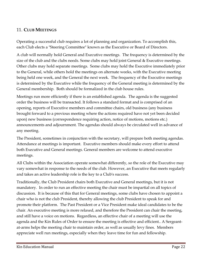## 11. **CLUB MEETINGS**

Operating a successful club requires a lot of planning and organization. To accomplish this, each Club elects a "Steering Committee" known as the Executive or Board of Directors.

A club will normally hold General and Executive meetings. The frequency is determined by the size of the club and the clubs needs. Some clubs may hold joint General & Executive meetings. Other clubs may hold separate meetings. Some clubs may hold the Executive immediately prior to the General, while others hold the meetings on alternate weeks, with the Executive meeting being held one week, and the General the next week. The frequency of the Executive meetings is determined by the Executive while the frequency of the General meeting is determined by the General membership. Both should be formalized in the club house rules.

Meetings run more efficiently if there is an established agenda. The agenda is the suggested order the business will be transacted. It follows a standard format and is comprised of an opening, reports of Executive members and committee chairs, old business (any business brought forward to a previous meeting where the actions required have not yet been decided upon) new business (correspondence requiring action, notice of motions, motions etc.) announcements and adjournment. The agendas should always be circulated well in advance of any meeting.

The President, sometimes in conjunction with the secretary, will prepare both meeting agendas. Attendance at meetings is important. Executive members should make every effort to attend both Executive and General meetings. General members are welcome to attend executive meetings.

All Clubs within the Association operate somewhat differently, so the role of the Executive may vary somewhat in response to the needs of the club. However, an Executive that meets regularly and takes an active leadership role is the key to a Club's success.

Traditionally, the Club President chairs both Executive and General meetings, but it is not mandatory. In order to run an effective meeting the chair must be impartial on all topics of discussion. It is because of this that for General meetings, some clubs have chosen to appoint a chair who is not the club President, thereby allowing the club President to speak for and promote their platform. The Past President or a Vice President make ideal candidates to be the chair. An executive meeting is more relaxed, and therefore the President can chair the meeting, and still have a voice on motions. Regardless, an effective chair of a meeting will use the agenda and the Kin Rules of Order to ensure the meeting is effective and efficient.. A Sergeantat-arms helps the meeting chair to maintain order, as well as usually levy fines. Members appreciate well run meetings, especially when they leave time for fun and fellowship.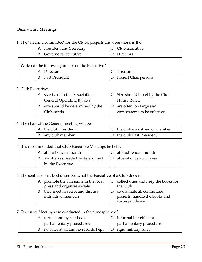## **Quiz – Club Meetings**

#### 1. The "steering committee" for the Club's projects and operations is the:

|  | <b>President and Secretary</b> | C   Club Executive |
|--|--------------------------------|--------------------|
|  | Governor's Executive           | Directors          |

#### 2. Which of the following are not on the Executive?

| A | Directors      | Treasurer                |
|---|----------------|--------------------------|
|   | Past President | D   Project Chairpersons |

#### 3. Club Executive:

|  | $A \mid$ size is set in the Associations | $C$ Size should be set by the Club |
|--|------------------------------------------|------------------------------------|
|  | <b>General Operating Bylaws</b>          | House Rules.                       |
|  | size should be determined by the         | are often too large and            |
|  | Club needs                               | cumbersome to be effective.        |

#### 4. The chair of the General meeting will be:

|  | A the club President | $\mid$ C $\mid$ the club's most senior member. |
|--|----------------------|------------------------------------------------|
|  | B any club member    | $ D $ the club Past President                  |

#### 5. It is recommended that Club Executive Meetings be held:

|  | A at least once a month          | C at least twice a month     |
|--|----------------------------------|------------------------------|
|  | As often as needed as determined | D   at least once a Kin year |
|  | by the Executive                 |                              |

#### 6. The sentence that best describes what the Executive of a Club does is:

|   | A $\vert$ promote the Kin name in the local |  | $C$ collect dues and keep the books for |
|---|---------------------------------------------|--|-----------------------------------------|
|   | press and organize socials                  |  | the Club                                |
| B | they meet in secret and discuss             |  | co-ordinate all committees,             |
|   | individual members                          |  | projects, handle the books and          |
|   |                                             |  | correspondence                          |

#### 7. Executive Meetings are conducted in the atmosphere of:

|   | A formal and by-the-book            |  | $C$ informal but efficient |
|---|-------------------------------------|--|----------------------------|
|   | parliamentary procedures            |  | parliamentary procedures   |
| B | no rules at all and no records kept |  | D   rigid military rules   |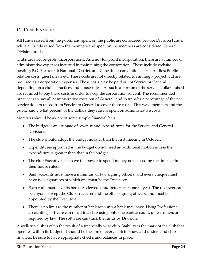## 12. **CLUB FINANCES**

All funds raised from the public and spent on the public are considered Service Division funds, while all funds raised from the members and spent on the members are considered General Division funds.

Clubs are not-for-profit incorporations. As a not-for-profit incorporation, there are a number of administrative expenses incurred in maintaining the corporation. These include website hosting; P.O. Box rental; National, District, and Zone dues; convention cost subsidies; Public relation costs, guest meals etc. These costs are not directly related to running a project, but are required as a corporation expenses. These costs may be paid out of Service or General depending on a club's practices and house rules. As such, a portion of the service dollars raised are required to pay these costs in order to keep the corporation solvent. The recommended practice is to pay all administrative costs out of General, and to transfer a percentage of the net service dollars raised from Service to General to cover these costs. This way, members and the public know what percent of the dollars they raise is spent on administrative costs.

Members should be aware of some simple financial facts:

- The budget is an estimate of revenue and expenditures for the Service and General Divisions
- The club should adopt the budget no later than the first meeting in October.
- Expenditures approved in the budget do not need an additional motion unless the expenditure is greater than that in the budget.
- The club Executive also have the power to spend money not exceeding the limit set in their house rules.
- Bank accounts must have a minimum of two signing officers, and every cheque must have two signatures of which one must be the Treasurer.
- Each club must have its books reviewed / audited at least once a year. The reviewer can be anyone, except the Club Treasurer and the other signing officers, and must be appointed by the Executive.
- There is no limit to the number of bank accounts a bank may have. Using Professional accounting software can result in a club using only one bank account, unless others are required by law. The software can track the funds by Division.

A well-run club is often the result of a financially wise club. Stability is the mark of the club that operates within its budget. It should be the aim of every club to know and understand club finances. Be sure to have appropriate checks and balances in place.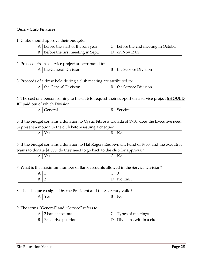### **Quiz – Club Finances**

#### 1. Clubs should approve their budgets:

|  | A before the start of the Kin year    | $ C $ before the 2nd meeting in October |
|--|---------------------------------------|-----------------------------------------|
|  | B   before the first meeting in Sept. | $ D $ on Nov 15th                       |

#### 2. Proceeds from a service project are attributed to:

| .<br>division<br>$\sim$<br>.<br>_____ | )ivision<br>.<br>∼<br>∼<br>_____ |
|---------------------------------------|----------------------------------|

3. Proceeds of a draw held during a club meeting are attributed to:

|                  | __                      |                  |
|------------------|-------------------------|------------------|
| $\blacktriangle$ | General Division<br>the | Service Division |

4. The cost of a person coming to the club to request their support on a service project **SHOULD BE** paid out of which Division:

|  | -<br><u>_</u><br>_____ |  |
|--|------------------------|--|
|--|------------------------|--|

5. If the budget contains a donation to Cystic Fibrosis Canada of \$750, does the Executive need to present a motion to the club before issuing a cheque?

|--|

6. If the budget contains a donation to Hal Rogers Endowment Fund of \$750, and the executive wants to donate \$1,000, do they need to go back to the club for approval?

|  | . . | $ -$ |  |  |
|--|-----|------|--|--|
|  |     |      |  |  |

7. What is the maximum number of Bank accounts allowed in the Service Division?

| $\Delta$ | - | $\sim$<br>╰ | -<br>◡                          |
|----------|---|-------------|---------------------------------|
| B        | ∸ | ∸           | $\sim$ $\sim$<br>fimit<br>1 N U |

#### 8. Is a cheque co-signed by the President and the Secretary valid?

| . . | $ -$ |  |
|-----|------|--|

#### 9. The terms "General" and "Service" refers to:

|  | $A \mid 2$ bank accounts   | $C$ Types of meetings       |
|--|----------------------------|-----------------------------|
|  | <b>Executive positions</b> | D   Divisions within a club |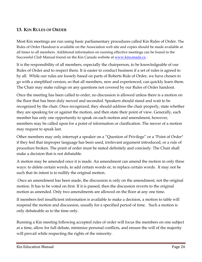## **13. KIN RULES OF ORDER**

Most Kin meetings are run using basic parliamentary procedures called Kin Rules of Order. The Rules of Order Handout is available on the Association web site and copies should be made available at all times to all members. Additional information on running effective meetings can be found in the Successful Club Manual found on the Kin Canada website at www.kincanada.ca .

It is the responsibility of all members, especially the chairperson, to be knowledgeable of our Rules of Order and to respect them. It is easier to conduct business if a set of rules is agreed to by all. While our rules are loosely based on parts of Roberts Rule of Order, we have chosen to go with a simplified version, so that all members, new and experienced, can quickly learn them. The Chair may make rulings on any questions not covered by our Rules of Order handout.

Once the meeting has been called to order, no discussion is allowed unless there is a motion on the floor that has been duly moved and seconded. Speakers should stand and wait to be recognized by the chair. Once recognized, they should address the chair properly, state whether they are speaking for or against the motion, and then state their point of view. Generally, each member has only one opportunity to speak on each motion and amendment, however, members may be called upon for a point of information or clarification. The mover of a motion may request to speak last.

Other members may only interrupt a speaker on a "Question of Privilege" or a "Point of Order" if they feel that improper language has been used, irrelevant argument introduced, or a rule of procedure broken. The point of order must be stated definitely and concisely. The Chair shall make a decision that is not debatable.

A motion may be amended once it is made. An amendment can amend the motion in only three ways: to delete certain words, to add certain words or, to replace certain words. It may not be such that its intent is to nullify the original motion.

 Once an amendment has been made, the discussion is only on the amendment, not the original motion. It has to be voted on first. If it is passed, then the discussion reverts to the original motion as amended. Only two amendments are allowed on the floor at any one time.

If members feel insufficient information is available to make a decision, a motion to table will suspend the motion and discussion, usually for a specified period of time. Such a motion is only debateable as to the time only.

Running a Kin meeting following accepted rules of order will focus the members on one subject at a time, allow for full debate, minimize personal conflicts, and ensure the will of the majority will prevail while respecting the rights of the minority.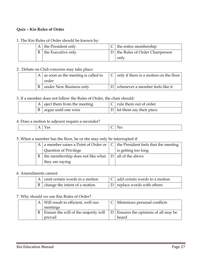#### **Quiz – Kin Rules of Order**

#### 1. The Kin Rules of Order should be known by:

|   | A the President only | the entire membership                |
|---|----------------------|--------------------------------------|
| B | the Executive only   | $D$   the Rules of Order Chairperson |
|   |                      | only                                 |

#### 2. Debate on Club concerns may take place:

|   | A $\vert$ as soon as the meeting is called to | only if there is a motion on the floor |
|---|-----------------------------------------------|----------------------------------------|
|   | order                                         |                                        |
| B | under New Business only                       | whenever a member feels like it        |

#### 3. If a member does not follow the Rules of Order, the chair should:

|  | $A$ eject them from the meeting      | $ C $ rule them out of order |
|--|--------------------------------------|------------------------------|
|  | $\vert B \vert$ argue until one wins | D   let them say their piece |

#### 4. Does a motion to adjourn require a seconder?

| $ -$ |
|------|
|------|

#### 5. When a member has the floor, he or she may only be interrupted if:

| A | a member raises a Point of Order or                      | $C$   the President feels that the meeting |
|---|----------------------------------------------------------|--------------------------------------------|
|   | Question of Privilege                                    | is getting too long                        |
|   | the membership does not like what $ D $ all of the above |                                            |
|   | they are saying                                          |                                            |

#### 6. Amendments cannot:

|  | A omit certain words in a motion                | $\vert C \vert$ add certain words to a motion |
|--|-------------------------------------------------|-----------------------------------------------|
|  | $\vert$ B $\vert$ change the intent of a motion | $\vert D \vert$ replace words with others     |

#### 7. Why should we use Kin Rules of Order?

|  | A   Will result in efficient, well run | Minimizes personal conflicts           |
|--|----------------------------------------|----------------------------------------|
|  | meetings                               |                                        |
|  | Ensure the will of the majority will   | $D$ Ensures the opinions of all may be |
|  | prevail                                | heard                                  |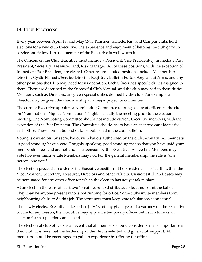## **14. CLUB ELECTIONS**

Every year between April 1st and May 15th, Kinsmen, Kinette, Kin, and Campus clubs hold elections for a new club Executive. The experience and enjoyment of helping the club grow in service and fellowship as a member of the Executive is well worth it.

The Officers on the Club Executive must include a President, Vice President(s), Immediate Past President, Secretary, Treasurer, and, Risk Manager. All of these positions, with the exception of Immediate Past President, are elected. Other recommended positions include Membership Director, Cystic Fibrosis/Service Director, Registrar, Bulletin Editor, Sergeant at Arms, and any other positions the Club may need for its operation. Each Officer has specific duties assigned to them. These are described in the Successful Club Manual, and the club may add to these duties. Members, such as Directors, are given special duties defined by the club. For example, a Director may be given the chairmanship of a major project or committee.

The current Executive appoints a Nominating Committee to bring a slate of officers to the club on "Nominations' Night". Nominations' Night is usually the meeting prior to the election meeting. The Nominating Committee should not include current Executive members, with the exception of the Past President. The Committee should try to have at least two candidates for each office. These nominations should be published in the club bulletin.

Voting is carried out by secret ballot with ballots authorized by the club Secretary. All members in good standing have a vote. Roughly speaking, good standing means that you have paid your membership fees and are not under suspension by the Executive. Active Life Members may vote however inactive Life Members may not. For the general membership, the rule is "one person, one vote".

The election proceeds in order of the Executive positions. The President is elected first, then the Vice President, Secretary, Treasurer, Directors and other officers. Unsuccessful candidates may be nominated for any other office for which the election has not yet taken place.

At an election there are at least two "scrutineers" to distribute, collect and count the ballots. They may be anyone present who is not running for office. Some clubs invite members from neighbouring clubs to do this job. The scrutineer must keep vote tabulations confidential.

The newly elected Executive takes office July 1st of any given year. If a vacancy on the Executive occurs for any reason, the Executive may appoint a temporary officer until such time as an election for that position can be held.

The election of club officers is an event that all members should consider of major importance in their club. It is here that the leadership of the club is selected and given club support. All members should be encouraged to gain in experience by offering for office.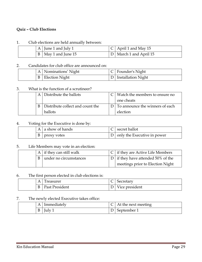### **Quiz – Club Elections**

#### 1. Club elections are held annually between:

|              | A $\vert$ June 1 and July 1 | C   April 1 and May 15   |
|--------------|-----------------------------|--------------------------|
| $\mathbf{B}$ | May 1 and June 15           | D   March 1 and April 15 |

#### 2. Candidates for club office are announced on:

|  | A   Nominations' Night | $ C $ Founder's Night  |
|--|------------------------|------------------------|
|  | B   Election Night     | D   Installation Night |

#### 3. What is the function of a scrutineer?

|   | Distribute the ballots           | Watch the members to ensure no      |
|---|----------------------------------|-------------------------------------|
|   |                                  | one cheats                          |
| R | Distribute collect and count the | D   To announce the winners of each |
|   | <b>ballots</b>                   | election                            |

#### 4. Voting for the Executive is done by:

|  | A a show of hands | secret ballot                               |
|--|-------------------|---------------------------------------------|
|  | proxy votes       | $\Box$ D $\Box$ only the Executive in power |

#### 5. Life Members may vote in an election:

|  | A if they can still walk | $\mid$ C $\mid$ if they are Active Life Members |
|--|--------------------------|-------------------------------------------------|
|  | under no circumstances   | $ D $ if they have attended 50% of the          |
|  |                          | meetings prior to Election Night                |

#### 6. The first person elected in club elections is:

| A | Treasurer      | Secretary      |
|---|----------------|----------------|
| B | Past President | Vice president |

#### 7. The newly elected Executive takes office:

| $\Delta$ | Immediatelv | At the next meeting |
|----------|-------------|---------------------|
| D        | ulv         | September 1         |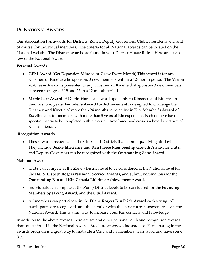## **15. NATIONAL AWARDS**

Our Association has awards for Districts, Zones, Deputy Governors, Clubs, Presidents, etc. and of course, for individual members. The criteria for all National awards can be located on the National website. The District awards are found in your District House Rules. Here are just a few of the National Awards:

### **Personal Awards**

- **GEM Award** (**G**et **E**xpansion **M**inded or **G**row **E**very **M**onth) This award is for any Kinsmen or Kinette who sponsors 3 new members within a 12-month period. The **Vision 2020 Gem Award** is presented to any Kinsmen or Kinette that sponsors 3 new members between the ages of 19 and 25 in a 12 month period.
- **Maple Leaf Award of Distinction** is an award open only to Kinsmen and Kinettes in their first two years. **Founder's Award for Achievement** is designed to challenge the Kinsmen and Kinette of more than 24 months to be active in Kin. **Member's Award of Excellence** is for members with more than 5 years of Kin experience. Each of these have specific criteria to be completed within a certain timeframe, and crosses a broad spectrum of Kin experiences.

#### **Recognition Awards**

 These awards recognize all the Clubs and Districts that submit qualifying affidavits. They include **Boake Efficiency** and **Ken Pierce Membership Growth Award** for clubs, and Deputy Governors can be recognized with the **Outstanding Zone Award.**

### **National Awards**

- Clubs can compete at the Zone /District level to be considered at the National level for the **Hal & Elspeth Rogers National Service Awards**, and submit nominations for the **Outstanding Kin** and **Kin Canada Lifetime Achievement Award**.
- Individuals can compete at the Zone/District levels to be considered for the **Founding Members Speaking Award**, and the **Quill Award**.
- All members can participate in the **Diane Rogers Kin Pride Award** each spring. All participants are recognized, and the member with the most correct answers receives the National Award. This is a fun way to increase your Kin contacts and knowledge!

In addition to the above awards there are several other personal, club and recognition awards that can be found in the National Awards Brochure at www.kincanada.ca. Participating in the awards program is a great way to motivate a Club and its members, learn a lot, and have some fun!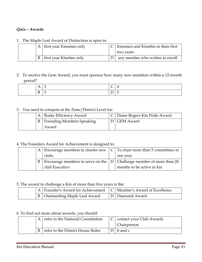## **Quiz – Awards**

#### 1. The Maple Leaf Award of Distinction is open to:

| A | first year Kinsmen only  | Kinsmen and Kinettes in their first<br>two years |
|---|--------------------------|--------------------------------------------------|
| B | first year Kinettes only | any member who wishes to enroll                  |

## 2. To receive the Gem Award, you must sponsor how many new members within a 12-month period?

#### 3. You need to compete at the Zone/District Level for:

|  | A   Boake Efficiency Award           | C   Diane Rogers Kin Pride Award |
|--|--------------------------------------|----------------------------------|
|  | <b>B</b>   Founding Members Speaking | D GEM Award                      |
|  | Award                                |                                  |

#### 4. The Founders Award for Achievement is designed to:

|  | A <sub>1</sub> | Encourage members to charter new $\mid C \mid$ To chair more than 5 committees in |                            |
|--|----------------|-----------------------------------------------------------------------------------|----------------------------|
|  |                | clubs                                                                             | one year                   |
|  | B              | Encourage members to serve on the $ D $ Challenge member of more than 24          |                            |
|  |                | club Executive                                                                    | months to be active in kin |

#### 5. The award to challenge a Kin of more than five years is the:

|  | A   Founder's Award for Achievement $\mathcal{C}$   Member's Award of Excellence |                 |
|--|----------------------------------------------------------------------------------|-----------------|
|  | B   Outstanding Maple Leaf Award                                                 | D Diamond Award |

#### 6. To find out more about awards, you should:

|  | A refer to the National Constitution | C   contact your Club Awards |
|--|--------------------------------------|------------------------------|
|  |                                      | Chairperson                  |
|  | refer to the District House Rules    | $D \mid b$ and c             |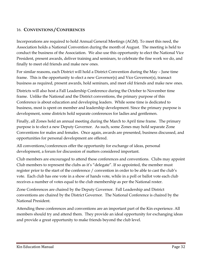## 16. **CONVENTIONS / CONFERENCES**

Incorporations are required to hold Annual General Meetings (AGM). To meet this need, the Association holds a National Convention during the month of August. The meeting is held to conduct the business of the Association. We also use this opportunity to elect the National Vice President, present awards, deliver training and seminars, to celebrate the fine work we do, and finally to meet old friends and make new ones.

For similar reasons, each District will hold a District Convention during the May – June time frame. This is the opportunity to elect a new Governor(s) and Vice Governor(s), transact business as required, present awards, hold seminars, and meet old friends and make new ones.

Districts will also host a Fall Leadership Conference during the October to November time frame. Unlike the National and the District conventions, the primary purpose of this Conference is about education and developing leaders. While some time is dedicated to business, most is spent on member and leadership development. Since the primary purpose is development, some districts hold separate conferences for ladies and gentlemen.

Finally, all Zones hold an annual meeting during the March to April time frame. The primary purpose is to elect a new Deputy Governor. As such, some Zones may hold separate Zone Conventions for males and females. Once again, awards are presented, business discussed, and opportunities for personal development are offered.

All conventions/conferences offer the opportunity for exchange of ideas, personal development, a forum for discussion of matters considered important.

Club members are encouraged to attend these conferences and conventions. Clubs may appoint Club members to represent the clubs as it's "delegate". If so appointed, the member must register prior to the start of the conference / convention in order to be able to cast the club's vote. Each club has one vote in a show of hands vote, while in a poll or ballot vote each club receives a number of votes equal to the club membership as per the National roster.

Zone Conferences are chaired by the Deputy Governor. Fall Leadership and District conventions are chaired by the District Governor. The National Conference is chaired by the National President.

Attending these conferences and conventions are an important part of the Kin experience. All members should try and attend them. They provide an ideal opportunity for exchanging ideas and provide a great opportunity to make friends beyond the club level.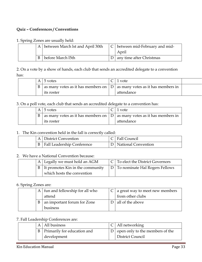#### **Quiz – Conferences / Conventions**

#### 1. Spring Zones are usually held:

|  | A between March lst and April 30th | $C$ between mid-February and mid-<br>April |
|--|------------------------------------|--------------------------------------------|
|  | before March 15th                  | any time after Christmas                   |

2. On a vote by a show of hands, each club that sends an accredited delegate to a convention has:

|  | A I | 5 votes                                                                     | 1 vote     |  |
|--|-----|-----------------------------------------------------------------------------|------------|--|
|  |     | as many votes as it has members on $ D $ as many votes as it has members in |            |  |
|  |     | <i>its roster</i>                                                           | attendance |  |

3. On a poll vote, each club that sends an accredited delegate to a convention has:

|  | $A \mid 5$ votes                                                                                      | vote       |
|--|-------------------------------------------------------------------------------------------------------|------------|
|  | $\vert B \vert$ as many votes as it has members on $\vert D \vert$ as many votes as it has members in |            |
|  | its roster                                                                                            | attendance |

#### 1. The Kin convention held in the fall is correctly called:

|  | <b>District Convention</b>        | C   Fall Council    |
|--|-----------------------------------|---------------------|
|  | <b>Fall Leadership Conference</b> | National Convention |

#### 2. We have a National Convention because:

|  | A Legally we must hold an AGM             | $\mid$ C $\mid$ To elect the District Governors |
|--|-------------------------------------------|-------------------------------------------------|
|  | $B \mid$ It promotes Kin in the community | D   To nominate Hal Rogers Fellows              |
|  | which hosts the convention                |                                                 |

#### 6. Spring Zones are:

| A | fun and fellowship for all who | $C \mid a$ great way to meet new members |
|---|--------------------------------|------------------------------------------|
|   | attend                         | from other clubs                         |
| B | an important forum for Zone    | all of the above                         |
|   | business                       |                                          |

#### 7. Fall Leadership Conferences are:

|  | $A$   All business              | $\vert$ C   All networking                      |
|--|---------------------------------|-------------------------------------------------|
|  | B   Primarily for education and | $\vert D \vert$ open only to the members of the |
|  | development                     | District Council                                |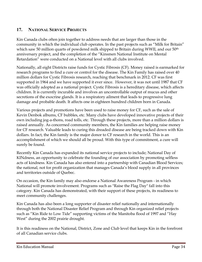## **17. NATIONAL SERVICE PROJECTS**

Kin Canada clubs often join together to address needs that are larger than those in the community in which the individual club operates. In the past projects such as "Milk for Britain" which saw 50 million quarts of powdered milk shipped to Britain during WWII, and our  $50<sup>th</sup>$ anniversary project, and the completion of the "Kinsmen National Institute on Mental Retardation" were conducted on a National level with all clubs involved.

Nationally, all eight Districts raise funds for Cystic Fibrosis (CF). Money raised is earmarked for research programs to find a cure or control for the disease. The Kin Family has raised over 40 million dollars for Cystic Fibrosis research, reaching that benchmark in 2012. CF was first supported in 1964 and we have supported it ever since. However, it was not until 1987 that CF was officially adopted as a national project. Cystic Fibrosis is a hereditary disease, which affects children. It is currently incurable and involves an uncontrollable output of mucus and other secretions of the exocrine glands. It is a respiratory ailment that leads to progressive lung damage and probable death. It affects one in eighteen hundred children born in Canada.

Various projects and promotions have been used to raise money for CF, such as the sale of Kevin Denbok albums, CF bubbles, etc. Many clubs have developed innovative projects of their own including jog-a-thons, road tolls, etc. Through these projects, more than a million dollars is raised annually. As concerned community members, the Kin families are helping raise money for CF research. Valuable leads to curing this dreaded disease are being tracked down with Kin dollars. In fact, the Kin family is the major donor to CF research in the world. This is an accomplishment of which we should all be proud. With this type of commitment, a cure will surely be found.

Recently Kin Canada has expanded its national service projects to include; National Day of KINdness, an opportunity to celebrate the founding of our association by promoting selfless acts of kindness. Kin Canada has also entered into a partnership with Canadian Blood Services; the national, not for profit organization that manages Canada's blood supply in all provinces and territories outside of Quebec.

On occasion, the Kin family may also endorse a National Awareness Program - in which National will promote involvement. Programs such as "Raise the Flag Day" fall into this category. Kin Canada has demonstrated, with their support of these projects, its readiness to meet community challenges.

Kin Canada has also been a long supporter of disaster relief nationally and internationally through both the National Disaster Relief Program and through Kin organized relief projects such as "Kin Ride to Low Tide" supporting victims of the Manitoba flood of 1997 and "Hay West" during the 2002 prairie drought.

It is this readiness on the National, District, Zone and Club level that keeps Kin in the forefront of all Canadian service clubs.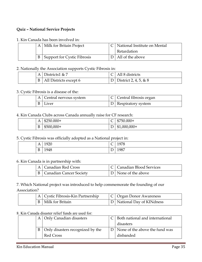#### **Quiz – National Service Projects**

#### 1. Kin Canada has been involved in:

|  | Milk for Britain Project    | National Institute on Mental |
|--|-----------------------------|------------------------------|
|  |                             | Retardation                  |
|  | Support for Cystic Fibrosis | All of the above             |

#### 2. Nationally the Association supports Cystic Fibrosis in:

|  | A Districts $4 \& 7$   | $\bigcap$   All 8 districts |
|--|------------------------|-----------------------------|
|  | All Districts except 6 | D   District 2, 4, 5, & 8   |

#### 3. Cystic Fibrosis is a disease of the:

|  | A   Central nervous system | Central fibrosis organ |
|--|----------------------------|------------------------|
|  | $B$   Liver                | D   Respiratory system |

#### 4. Kin Canada Clubs across Canada annually raise for CF research:

|  |                               | . .         |                               |               |
|--|-------------------------------|-------------|-------------------------------|---------------|
|  | A                             | $$250.000+$ | $\sqrt{2}$<br>◡               | $$750.000+$   |
|  | $\overline{\phantom{a}}$<br>D | $$500,000+$ | $\overline{\phantom{0}}$<br>◡ | $$1,000,000+$ |

#### 5. Cystic Fibrosis was officially adopted as a National project in:

| д<br>$\mathbf{L}$ | $\Omega$<br>้<br>.∠∠∪ | $\overline{\phantom{0}}$<br>$\check{ }$ | 1978 |
|-------------------|-----------------------|-----------------------------------------|------|
| B                 | 1948                  | $\overline{\phantom{0}}$<br>◡           | 1987 |

#### 6. Kin Canada is in partnership with:

|  | Canadian Red Cross      | C   Canadian Blood Services |
|--|-------------------------|-----------------------------|
|  | Canadian Cancer Society | D   None of the above       |

#### 7. Which National project was introduced to help commemorate the founding of our Association?

|  | A Cystic Fibrosis-Kin Partnership | C   Organ Donor Awareness    |
|--|-----------------------------------|------------------------------|
|  | B   Milk for Britain              | D   National Day of KINdness |

#### 8. Kin Canada disaster relief funds are used for:

|  | A   Only Canadian disasters          | C   Both national and international |
|--|--------------------------------------|-------------------------------------|
|  |                                      | disasters                           |
|  | B   Only disasters recognized by the | D   None of the above the fund was  |
|  | Red Cross                            | disbanded                           |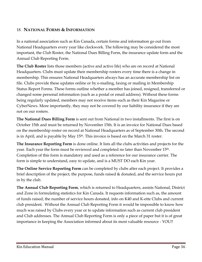## 18. **NATIONAL FORMS & INFORMATION**

In a national association such as Kin Canada, certain forms and information go out from National Headquarters every year like clockwork. The following may be considered the most important, the Club Roster, the National Dues Billing Form, the insurance update form and the Annual Club Reporting Form.

**The Club Roster** lists those members (active and active life) who are on record at National Headquarters. Clubs must update their membership rosters every time there is a change in membership. This ensures National Headquarters always has an accurate membership list on file. Clubs provide these updates online or by e-mailing, faxing or mailing in Membership Status Report Forms. These forms outline whether a member has joined, resigned, transferred or changed some personal information (such as a postal or email address). Without these forms being regularly updated, members may not receive items such as their Kin Magazine or CyberNews. More importantly, they may not be covered by our liability insurance if they are not on our rosters.

**The National Dues Billing Form** is sent out from National in two installments. The first is on October 15th and must be returned by November 15th. It is an invoice for National Dues based on the membership roster on record at National Headquarters as of September 30th. The second is in April, and is payable by May 15<sup>th</sup>. This invoice is based on the March 31 roster.

**The Insurance Reporting Form** is done online. It lists all the clubs activities and projects for the year. Each year the form must be reviewed and completed no later than November 15<sup>th</sup>. Completion of this form is mandatory and used as a reference for our insurance carrier. The form is simple to understand, easy to update, and is a MUST DO each Kin year.

**The Online Service Reporting Form** can be completed by clubs after each project. It provides a brief description of the project, the purpose, funds raised & donated, and the service hours put in by the club.

**The Annual Club Reporting Form**, which is returned to Headquarters, assists National, District and Zone in formulating statistics for Kin Canada. It requests information such as, the amount of funds raised, the number of service hours donated, info on K40 and K-ette Clubs and current club president. Without the Annual Club Reporting Form it would be impossible to know how much was raised by Clubs every year or to update information such as current club president and Club addresses. The Annual Club Reporting Form is only a piece of paper but it is of great importance in keeping the Association informed about its most valuable resource - YOU!!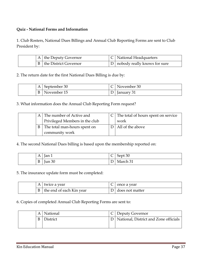#### **Quiz - National Forms and Information**

1. Club Rosters, National Dues Billings and Annual Club Reporting Forms are sent to Club President by:

|  | A   the Deputy Governor        | $ C $ National Headquarters      |
|--|--------------------------------|----------------------------------|
|  | <b>B</b> the District Governor | D   nobody really knows for sure |

2. The return date for the first National Dues Billing is due by:

|  | $\mathbf{A}$ | September 30 |   | November 30 |
|--|--------------|--------------|---|-------------|
|  |              | lovember 15  | ້ | anuary      |

3. What information does the Annual Club Reporting Form request?

|  | The number of Active and       | The total of hours spent on service |
|--|--------------------------------|-------------------------------------|
|  | Privileged Members in the club | work                                |
|  | The total man-hours spent on   | All of the above                    |
|  | community work                 |                                     |

4. The second National Dues billing is based upon the membership reported on:

|  | A | Jan 1  | $\overline{\phantom{0}}$<br>╰ | Sept 30                                        |
|--|---|--------|-------------------------------|------------------------------------------------|
|  | B | Iun 30 | ட                             | $\sim$<br>⊶∽⊾<br>AZ I<br>$1$ vial CII $\cup$ 1 |

5. The insurance update form must be completed:

| AΙ | twice a year             | once a year     |
|----|--------------------------|-----------------|
|    | the end of each Kin year | does not matter |

6. Copies of completed Annual Club Reporting Forms are sent to:

| A | National | Deputy Governor                           |
|---|----------|-------------------------------------------|
|   | )istrict | D   National, District and Zone officials |
|   |          |                                           |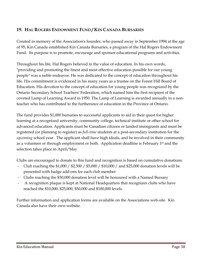## **19. HAL ROGERS ENDOWMENT FUND / KIN CANADA BURSARIES**

Created in memory of the Association's founder, who passed away in September 1994 at the age of 95, Kin Canada established Kin Canada Bursaries, a program of the Hal Rogers Endowment Fund. Its purpose is to promote, encourage and sponsor educational programs and activities.

Throughout his life, Hal Rogers believed in the value of education. In his own words, "providing and promoting the finest and most effective education possible for our young people" was a noble endeavor. He was dedicated to the concept of education throughout his life. His commitment is evidenced in his many years as a trustee on the Forest Hill Board of Education. His devotion to the concept of education for young people was recognized by the Ontario Secondary School Teachers' Federation, which named him the first recipient of the coveted Lamp of Learning Award in 1950. The Lamp of Learning is awarded annually to a nonteacher who has contributed to the furtherance of education in the Province of Ontario.

The fund provides \$1,000 bursaries to successful applicants to aid in their quest for higher learning at a recognized university, community college, technical institute or other school for advanced education. Applicants must be Canadian citizens or landed immigrants and must be registered (or planning to register) as *full-time* students at a post-secondary institution for the *upcoming* school year. The applicant shall have high ideals, and be involved in their community as a volunteer or through employment or both. Application deadline is February 1st and the selection takes place in April/May.

Clubs are encouraged to donate to this fund and recognition is based on cumulative donations:

- Club reaching the \$1,000 / \$2,500 / \$5,000 / \$10,000 / and \$25,000 donation levels will be presented with badge add-ons for each club member
- Clubs reaching the \$50,000 donation level will be honoured with a Named Bursary
- A recognition plaque is kept at National Headquarters that recognizes clubs who have reached the \$10,000, \$25,000, \$50,000 and \$100,000 levels.

Further information and application forms are available on the Associations web-site. Kin Canada also have their own website.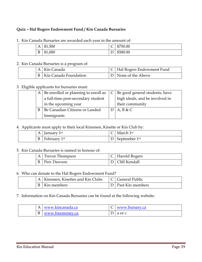#### **Quiz – Hal Rogers Endowment Fund / Kin Canada Bursaries**

| $\mathbf{A}$ | 1,500<br>ጠብ<br>ᄓ | ╭<br>$\check{~}$ | \$750.00 |
|--------------|------------------|------------------|----------|
| D.           | \$1,000          | ້                | \$500.00 |

1. Kin Canada Bursaries are awarded each year in the amount of:

## 2. Kin Canada Bursaries is a program of:

|  | A   Kin Canada            | C   Hal Rogers Endowment Fund |
|--|---------------------------|-------------------------------|
|  | B   Kin Canada Foundation | D   None of the Above         |

#### 3. Eligible applicants for bursaries must:

|  | A   Be enrolled or planning to enroll as $ C $ Be good general students, have |                                 |
|--|-------------------------------------------------------------------------------|---------------------------------|
|  | a full-time post-secondary student                                            | high ideals, and be involved in |
|  | in the upcoming year                                                          | their community                 |
|  | Be Canadian Citizens or Landed                                                | $D$ A, B & C                    |
|  | Immigrants                                                                    |                                 |

#### 4. Applicants must apply to their local Kinsmen, Kinette or Kin Club by:

|  | A | January 1 <sup>st</sup> | ◡ | March 1st     |
|--|---|-------------------------|---|---------------|
|  | υ | February 1st            | ້ | September 1st |

#### 5. Kin Canada Bursaries is named in honour of:

| Trevor Thompson<br>AΙ | C   Harold Rogers    |
|-----------------------|----------------------|
| Perc Dawson           | <b>Cliff Kendall</b> |

#### 6. Who can donate to the Hal Rogers Endowment Fund?

|  | A   Kinsmen, Kinettes and Kin Clubs | C   General Public |
|--|-------------------------------------|--------------------|
|  | Kin members                         | Past Kin members   |

#### 7. Information on Kin Canada Bursaries can be found at the following website:

| д | www.kincanada.ca | www.bursary.ca |
|---|------------------|----------------|
|   | www.freemoney.ca | a or c         |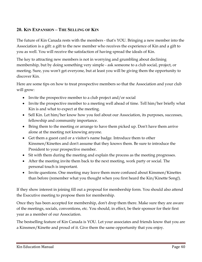## **20. KIN EXPANSION – THE SELLING OF KIN**

The future of Kin Canada rests with the members - that's YOU. Bringing a new member into the Association is a gift: a gift to the new member who receives the experience of Kin and a gift to you as well. You will receive the satisfaction of having spread the ideals of Kin.

The key to attracting new members is not in worrying and grumbling about declining membership, but by doing something very simple - ask someone to a club social, project, or meeting. Sure, you won't get everyone, but at least you will be giving them the opportunity to discover Kin.

Here are some tips on how to treat prospective members so that the Association and your club will grow:

- Invite the prospective member to a club project and/or social
- Invite the prospective member to a meeting well ahead of time. Tell him/her briefly what Kin is and what to expect at the meeting.
- Sell Kin. Let him/her know how you feel about our Association, its purposes, successes, fellowship and community importance.
- Bring them to the meeting or arrange to have them picked up. Don't have them arrive alone at the meeting not knowing anyone.
- Get them a guest card or a visitor's name badge. Introduce them to other Kinsmen/Kinettes and don't assume that they knows them. Be sure to introduce the President to your prospective member.
- Sit with them during the meeting and explain the process as the meeting progresses.
- After the meeting invite them back to the next meeting, work party or social. The personal touch is important.
- Invite questions. One meeting may leave them more confused about Kinsmen/Kinettes than before (remember what you thought when you first heard the Kin/Kinette Song!).

If they show interest in joining fill out a proposal for membership form. You should also attend the Executive meeting to propose them for membership.

Once they has been accepted for membership, don't drop them there. Make sure they are aware of the meetings, socials, conventions, etc. You should, in effect, be their sponsor for their first year as a member of our Association.

The bestselling feature of Kin Canada is YOU. Let your associates and friends know that you are a Kinsmen/Kinette and proud of it. Give them the same opportunity that you enjoy.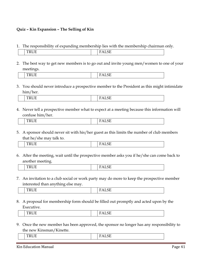#### **Quiz – Kin Expansion – The Selling of Kin**

1. The responsibility of expanding membership lies with the membership chairman only.

|  |  | ____ |  |
|--|--|------|--|

2. The best way to get new members is to go out and invite young men/women to one of your meetings.

|  | . |  |
|--|---|--|
|--|---|--|

3. You should never introduce a prospective member to the President as this might intimidate him/her.

|  | ____<br><b>CONTRACTOR</b><br><br>$\sim$ $\sim$ |  | ------- |
|--|------------------------------------------------|--|---------|
|--|------------------------------------------------|--|---------|

4. Never tell a prospective member what to expect at a meeting because this information will confuse him/her.

| . .<br> | __<br>. <u>.</u><br>. . |
|---------|-------------------------|

5. A sponsor should never sit with his/her guest as this limits the number of club members that he/she may talk to.

| --<br>$\sim$ $\sim$ | ---<br>---<br>- |
|---------------------|-----------------|
|---------------------|-----------------|

6. After the meeting, wait until the prospective member asks you if he/she can come back to another meeting.

| -      |  |
|--------|--|
| $\sim$ |  |
|        |  |

7. An invitation to a club social or work party may do more to keep the prospective member interested than anything else may.

| ---<br>$\sim$<br>____ |
|-----------------------|
|-----------------------|

8. A proposal for membership form should be filled out promptly and acted upon by the Executive.

| 'N<br>110 L | --<br>$\overline{\phantom{0}}$<br>17 T T T T |  |
|-------------|----------------------------------------------|--|
|-------------|----------------------------------------------|--|

9. Once the new member has been approved, the sponsor no longer has any responsibility to the new Kinsman/Kinette.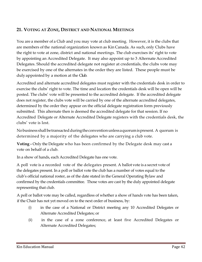## **21. VOTING AT ZONE, DISTRICT AND NATIONAL MEETINGS**

You are a member of a Club and you may vote at club meeting. However, it is the clubs that are members of the national organization known as Kin Canada. As such, only Clubs have the right to vote at zone, district and national meetings. The club exercises its' right to vote by appointing an Accredited Delegate. It may also appoint up to 3 Alternate Accredited Delegates. Should the accredited delegate not register at credentials, the clubs vote may be exercised by one of the alternates in the order they are listed. These people must be duly appointed by a motion at the Club.

Accredited and alternate accredited delegates must register with the credentials desk in order to exercise the clubs' right to vote. The time and location the credentials desk will be open will be posted. The clubs' vote will be presented to the accredited delegate. If the accredited delegate does not register, the clubs vote will be carried by one of the alternate accredited delegates, determined by the order they appear on the official delegate registration form previously submitted. This alternate then is deemed the accredited delegate for that session. If no Accredited Delegate or Alternate Accredited Delegate registers with the credentials desk, the clubs' vote is lost.

No business shall be transacted during the convention unless a quorum is present. A quorum is determined by a majority of the delegates who are carrying a club vote.

**Voting -** Only the Delegate who has been confirmed by the Delegate desk may cast a vote on behalf of a club.

In a show of hands, each Accredited Delegate has one vote.

A poll vote is a recorded vote of the delegates present. A ballot vote is a secret vote of the delegates present. In a poll or ballot vote the club has a number of votes equal to the club's official national roster, as of the date stated in the General Operating Bylaw and confirmed by the credentials committee. Those votes are cast by the duly appointed delegate representing that club.

A poll or ballot vote may be called, regardless of whether a show of hands vote has been taken, if the Chair has not yet moved on to the next order of business, by:

- (i) in the case of a National or District meeting any 10 Accredited Delegates or Alternate Accredited Delegates; or
- (ii) in the case of a zone conference, at least five Accredited Delegates or Alternate Accredited Delegates;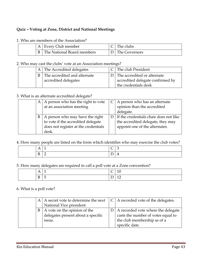#### **Quiz – Voting at Zone, District and National Meetings**

| A | Every Club member          | l'he clubs    |
|---|----------------------------|---------------|
| B | The National Board members | The Governors |

#### 1. Who are members of the Association?

2. Who may cast the clubs' vote at an Association meetings?

|  | A The Accredited delegates                             | C The club President                                                                      |
|--|--------------------------------------------------------|-------------------------------------------------------------------------------------------|
|  | B The accredited and alternate<br>accredited delegates | D The accredited or alternate<br>accredited delegate confirmed by<br>the credentials desk |

#### 3. What is an alternate accredited delegate?

| $\mathbf{A}$ | A person who has the right to vote   | $C \mid A$ person who has an alternate     |
|--------------|--------------------------------------|--------------------------------------------|
|              | at an association meeting            | opinion than the accredited                |
|              |                                      | delegate.                                  |
| B            | A person who may have the right      | $D$ If the credentials chair does not like |
|              | to vote if the accredited delegate   | the accredited delegate, they may          |
|              | does not register at the credentials | appoint one of the alternates              |
|              | desk.                                |                                            |

#### 4. How many people are listed on the form which identifies who may exercise the club votes?

| . | . . | ∼ | ◡        |
|---|-----|---|----------|
| ◡ | -   | - | <b>.</b> |

#### 5. How many delegates are required to call a poll vote at a Zone convention?

| A<br><b>A A</b> | $\overline{\phantom{a}}$ | $\overline{\phantom{0}}$<br>╰        | TÛ |
|-----------------|--------------------------|--------------------------------------|----|
| D<br>D.         | ∼                        | <u>_</u><br>$\overline{\phantom{0}}$ | ᅶᆇ |

#### 6. What is a poll vote?

|  | $A \mid A$ secret vote to determine the next | $\mid$ C   A recorded vote of the delegates. |
|--|----------------------------------------------|----------------------------------------------|
|  | National Vice president                      |                                              |
|  | $B \mid A$ vote on the opinion of the        | $D \mid A$ recorded vote where the delegate  |
|  | delegates present about a specific           | casts the number of votes equal to           |
|  | issue.                                       | the club membership as of a                  |
|  |                                              | specific date.                               |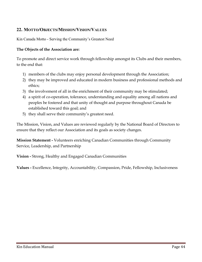## **22. MOTTO/OBJECTS/MISSION/VISION/VALUES**

Kin Canada Motto - Serving the Community's Greatest Need

#### **The Objects of the Association are:**

To promote and direct service work through fellowship amongst its Clubs and their members, to the end that:

- 1) members of the clubs may enjoy personal development through the Association;
- 2) they may be improved and educated in modern business and professional methods and ethics;
- 3) the involvement of all in the enrichment of their community may be stimulated;
- 4) a spirit of co-operation, tolerance, understanding and equality among all nations and peoples be fostered and that unity of thought and purpose throughout Canada be established toward this goal; and
- 5) they shall serve their community's greatest need.

The Mission, Vision, and Values are reviewed regularly by the National Board of Directors to ensure that they reflect our Association and its goals as society changes.

**Mission Statement -** Volunteers enriching Canadian Communities through Community Service, Leadership, and Partnership

**Vision -** Strong, Healthy and Engaged Canadian Communities

**Values -** Excellence, Integrity, Accountability, Compassion, Pride, Fellowship, Inclusiveness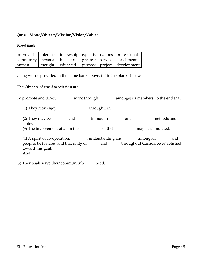#### **Quiz – Motto/Objects/Mission/Vision/Values**

#### **Word Bank**

|                                                                                                         |  |  | $\vert$ improved $\vert$ tolerance $\vert$ fellowship $\vert$ equality $\vert$ nations $\vert$ professional |
|---------------------------------------------------------------------------------------------------------|--|--|-------------------------------------------------------------------------------------------------------------|
| $\vert$ community $\vert$ personal $\vert$ business $\vert$ greatest $\vert$ service $\vert$ enrichment |  |  |                                                                                                             |
| human                                                                                                   |  |  | thought   educated   purpose   project   development                                                        |

Using words provided in the name bank above, fill in the blanks below

#### **The Objects of the Association are:**

To promote and direct \_\_\_\_\_\_\_ work through \_\_\_\_\_\_\_ amongst its members, to the end that:

(1) They may enjoy  $\frac{1}{\sqrt{1-\frac{1}{n}}}$  through Kin;

(2) They may be  $\_\_\_\_\$  and  $\_\_\_\_\$  in modern  $\_\_\_\_\$  and  $\_\_\_\_\_\$  methods and ethics;

(3) The involvement of all in the  $\qquad$  of their  $\qquad$  may be stimulated;

(4) A spirit of co-operation, \_\_\_\_\_\_\_\_, understanding and \_\_\_\_\_\_\_ among all \_\_\_\_\_\_\_ and peoples be fostered and that unity of \_\_\_\_\_\_ and \_\_\_\_\_\_ throughout Canada be established toward this goal; And

(5) They shall serve their community's \_\_\_\_\_ need.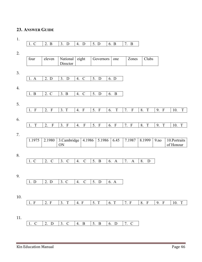#### **23. ANSWER GUIDE**

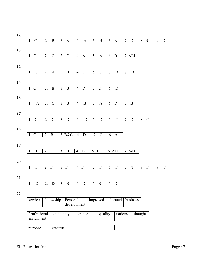| $\mathbf C$<br>1.           | 2. | $\bf{B}$              | 3.<br>$\mathbf{A}$     | 4.<br>$\mathbf{A}$  | 5.                | $\bf{B}$                  | 6.     | $\mathbf{A}$  | 7.      | D            | 8. B               | 9. | $\mathbf D$               |  |
|-----------------------------|----|-----------------------|------------------------|---------------------|-------------------|---------------------------|--------|---------------|---------|--------------|--------------------|----|---------------------------|--|
|                             |    |                       |                        |                     |                   |                           |        |               |         |              |                    |    |                           |  |
| 1. C                        | 2. | $\mathbf C$           | 3.<br>$\mathbf C$      | 4.<br>$\mathbf{A}$  | 5.                | A                         | 6.     | $\bf{B}$      | 7. ALL  |              |                    |    |                           |  |
|                             |    |                       |                        |                     |                   |                           |        |               |         |              |                    |    |                           |  |
|                             |    |                       |                        |                     |                   |                           |        |               |         |              |                    |    |                           |  |
| $\mathbf C$<br>1.           | 2. | $\boldsymbol{\rm{A}}$ | 3.<br>$\, {\bf B}$     | $\mathcal{C}$<br>4. | 5.                | $\mathbf C$               | 6.     | $\, {\bf B}$  | 7.      | $\, {\bf B}$ |                    |    |                           |  |
|                             |    |                       |                        |                     |                   |                           |        |               |         |              |                    |    |                           |  |
| 1. C                        | 2. | $\, {\bf B}$          | 3.<br>$\boldsymbol{B}$ | 4.<br>D             | 5.                | $\mathbf C$               | 6.     | $\mathbf D$   |         |              |                    |    |                           |  |
|                             |    |                       |                        |                     |                   |                           |        |               |         |              |                    |    |                           |  |
| $\mathbf{A}$<br>1.          | 2. | $\mathbf C$           | 3.<br>$\, {\bf B}$     | $\, {\bf B}$<br>4.  | 5.                | $\mathbf{A}$              | 6      | D.            | 7.      | $\bf{B}$     |                    |    |                           |  |
|                             |    |                       |                        |                     |                   |                           |        |               |         |              |                    |    |                           |  |
|                             |    |                       |                        |                     |                   |                           |        |               |         |              |                    |    |                           |  |
| 1. D                        | 2. | $\mathbf C$           | $\mathfrak{Z}$<br>D.   | 4.                  | 5.<br>$\mathbf D$ | $\mathbf D$               | 6.     | $\mathcal{C}$ | 7. D    |              | 8.<br>$\mathbf C$  |    |                           |  |
|                             |    |                       |                        |                     |                   |                           |        |               |         |              |                    |    |                           |  |
| $\mathbf C$<br>$\mathbf{1}$ | 2. | $\bf{B}$              | 3. B&C                 | 4.<br>D             | 5.                | $\mathsf C$               | 6. A   |               |         |              |                    |    |                           |  |
|                             |    |                       |                        |                     |                   |                           |        |               |         |              |                    |    |                           |  |
| $\bf{B}$<br>1.              | 2. | $\mathcal{C}$         | 3.<br>${\rm D}$        | 4.<br>$\, {\bf B}$  |                   | 5. C                      | 6. ALL |               |         | 7. A&C       |                    |    |                           |  |
|                             |    |                       |                        |                     |                   |                           |        |               |         |              |                    |    |                           |  |
| $\mathbf{F}$<br>1.          | 2. | $\mathbf{F}$          | $\mathfrak{Z}$<br>F.   | 4. F                | 5.                | $\boldsymbol{\mathrm{F}}$ | 6.     | $\mathbf F$   | 7.      | T            | 8.<br>$\mathbf{F}$ | 9. | $\boldsymbol{\mathrm{F}}$ |  |
|                             |    |                       |                        |                     |                   |                           |        |               |         |              |                    |    |                           |  |
|                             |    |                       |                        |                     |                   |                           |        |               |         |              |                    |    |                           |  |
| 1.<br>$\mathbf C$           | 2. | D                     | 3. B                   | 4. D                |                   | 5. B                      | 6. D   |               |         |              |                    |    |                           |  |
|                             |    |                       |                        |                     |                   |                           |        |               |         |              |                    |    |                           |  |
|                             |    |                       |                        |                     |                   |                           |        |               |         |              |                    |    |                           |  |
| service                     |    | fellowship            |                        | Personal            |                   | improved                  |        | educated      |         | business     |                    |    |                           |  |
|                             |    |                       |                        | development         |                   |                           |        |               |         |              |                    |    |                           |  |
| Professional                |    |                       | community              | tolerance           |                   | equality                  |        |               | nations |              | thought            |    |                           |  |
| enrichment                  |    |                       |                        |                     |                   |                           |        |               |         |              |                    |    |                           |  |